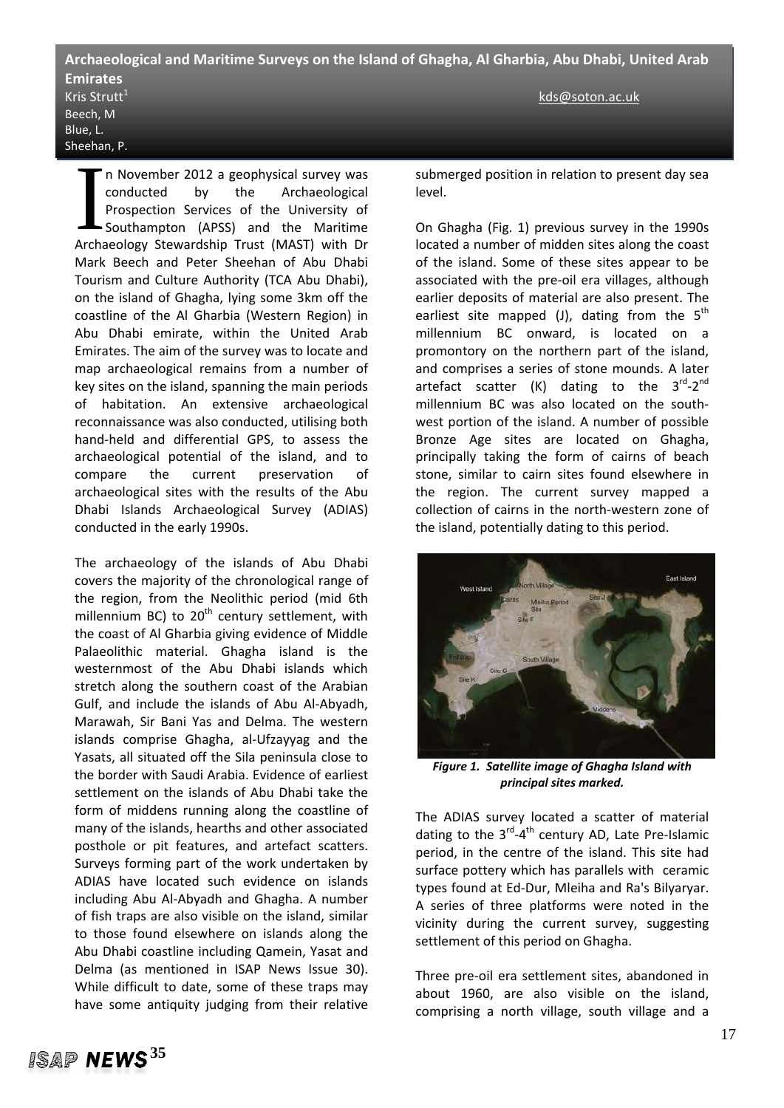## **Archaeological and Maritime Surveys on the Island of Ghagha, Al Gharbia, Abu Dhabi, United Arab Emirates**  Kris Strutt $^{1}$  and the structure of the structure  $\mathbb{R}^{n}$  and the structure  $\mathbb{R}^{n}$  and the structure  $\mathbb{R}^{n}$  and the structure  $\mathbb{R}^{n}$  and the structure  $\mathbb{R}^{n}$  and the structure  $\mathbb{R}^{n}$  and the Beech, M Blue, L.

n November 2012 a geophysical survey was conducted by the Archaeological Prospection Services of the University of Southampton (APSS) and the Maritime The November 2012 a geophysical survey was<br>
conducted by the Archaeological<br>
Prospection Services of the University of<br>
Southampton (APSS) and the Maritime<br>
Archaeology Stewardship Trust (MAST) with Dr Mark Beech and Peter Sheehan of Abu Dhabi Tourism and Culture Authority (TCA Abu Dhabi), on the island of Ghagha, lying some 3km off the coastline of the Al Gharbia (Western Region) in Abu Dhabi emirate, within the United Arab Emirates. The aim of the survey was to locate and map archaeological remains from a number of key sites on the island, spanning the main periods of habitation. An extensive archaeological reconnaissance was also conducted, utilising both hand‐held and differential GPS, to assess the archaeological potential of the island, and to compare the current preservation of archaeological sites with the results of the Abu Dhabi Islands Archaeological Survey (ADIAS) conducted in the early 1990s.

Sheehan, P.

The archaeology of the islands of Abu Dhabi covers the majority of the chronological range of the region, from the Neolithic period (mid 6th millennium BC) to  $20<sup>th</sup>$  century settlement, with the coast of Al Gharbia giving evidence of Middle Palaeolithic material. Ghagha island is the westernmost of the Abu Dhabi islands which stretch along the southern coast of the Arabian Gulf, and include the islands of Abu Al‐Abyadh, Marawah, Sir Bani Yas and Delma. The western islands comprise Ghagha, al‐Ufzayyag and the Yasats, all situated off the Sila peninsula close to the border with Saudi Arabia. Evidence of earliest settlement on the islands of Abu Dhabi take the form of middens running along the coastline of many of the islands, hearths and other associated posthole or pit features, and artefact scatters. Surveys forming part of the work undertaken by ADIAS have located such evidence on islands including Abu Al‐Abyadh and Ghagha. A number of fish traps are also visible on the island, similar to those found elsewhere on islands along the Abu Dhabi coastline including Qamein, Yasat and Delma (as mentioned in ISAP News Issue 30). While difficult to date, some of these traps may have some antiquity judging from their relative

submerged position in relation to present day sea level.

On Ghagha (Fig. 1) previous survey in the 1990s located a number of midden sites along the coast of the island. Some of these sites appear to be associated with the pre‐oil era villages, although earlier deposits of material are also present. The earliest site mapped (J), dating from the  $5<sup>th</sup>$ millennium BC onward, is located on a promontory on the northern part of the island, and comprises a series of stone mounds. A later artefact scatter (K) dating to the  $3^{rd}$ - $2^{nd}$ millennium BC was also located on the south‐ west portion of the island. A number of possible Bronze Age sites are located on Ghagha, principally taking the form of cairns of beach stone, similar to cairn sites found elsewhere in the region. The current survey mapped a collection of cairns in the north‐western zone of the island, potentially dating to this period.



*Figure 1. Satellite image of Ghagha Island with principal sites marked.*

The ADIAS survey located a scatter of material dating to the 3<sup>rd</sup>-4<sup>th</sup> century AD, Late Pre-Islamic period, in the centre of the island. This site had surface pottery which has parallels with ceramic types found at Ed‐Dur, Mleiha and Ra's Bilyaryar. A series of three platforms were noted in the vicinity during the current survey, suggesting settlement of this period on Ghagha.

Three pre‐oil era settlement sites, abandoned in about 1960, are also visible on the island, comprising a north village, south village and a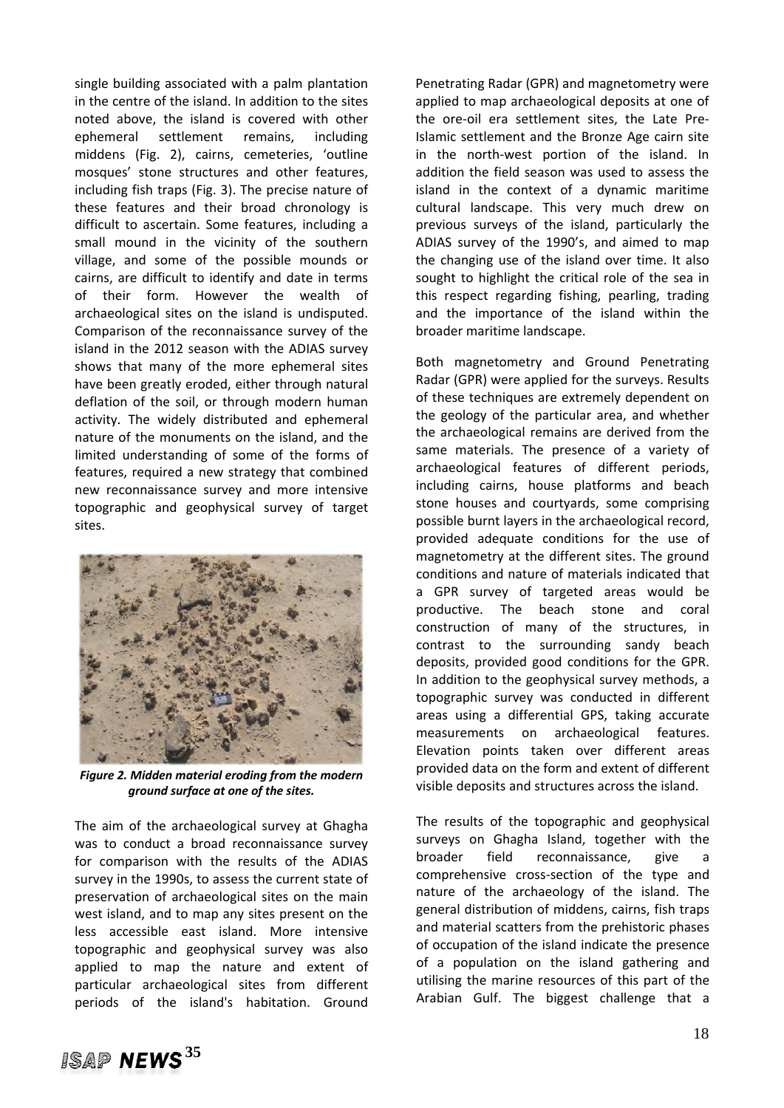single building associated with a palm plantation in the centre of the island. In addition to the sites noted above, the island is covered with other ephemeral settlement remains, including middens (Fig. 2), cairns, cemeteries, 'outline mosques' stone structures and other features, including fish traps (Fig. 3). The precise nature of these features and their broad chronology is difficult to ascertain. Some features, including a small mound in the vicinity of the southern village, and some of the possible mounds or cairns, are difficult to identify and date in terms of their form. However the wealth of archaeological sites on the island is undisputed. Comparison of the reconnaissance survey of the island in the 2012 season with the ADIAS survey shows that many of the more ephemeral sites have been greatly eroded, either through natural deflation of the soil, or through modern human activity. The widely distributed and ephemeral nature of the monuments on the island, and the limited understanding of some of the forms of features, required a new strategy that combined new reconnaissance survey and more intensive topographic and geophysical survey of target sites.



*Figure 2. Midden material eroding from the modern ground surface at one of the sites.*

The aim of the archaeological survey at Ghagha was to conduct a broad reconnaissance survey for comparison with the results of the ADIAS survey in the 1990s, to assess the current state of preservation of archaeological sites on the main west island, and to map any sites present on the less accessible east island. More intensive topographic and geophysical survey was also applied to map the nature and extent of particular archaeological sites from different periods of the island's habitation. Ground

Penetrating Radar (GPR) and magnetometry were applied to map archaeological deposits at one of the ore‐oil era settlement sites, the Late Pre‐ Islamic settlement and the Bronze Age cairn site in the north‐west portion of the island. In addition the field season was used to assess the island in the context of a dynamic maritime cultural landscape. This very much drew on previous surveys of the island, particularly the ADIAS survey of the 1990's, and aimed to map the changing use of the island over time. It also sought to highlight the critical role of the sea in this respect regarding fishing, pearling, trading and the importance of the island within the broader maritime landscape.

Both magnetometry and Ground Penetrating Radar (GPR) were applied for the surveys. Results of these techniques are extremely dependent on the geology of the particular area, and whether the archaeological remains are derived from the same materials. The presence of a variety of archaeological features of different periods, including cairns, house platforms and beach stone houses and courtyards, some comprising possible burnt layers in the archaeological record, provided adequate conditions for the use of magnetometry at the different sites. The ground conditions and nature of materials indicated that a GPR survey of targeted areas would be productive. The beach stone and coral construction of many of the structures, in contrast to the surrounding sandy beach deposits, provided good conditions for the GPR. In addition to the geophysical survey methods, a topographic survey was conducted in different areas using a differential GPS, taking accurate measurements on archaeological features. Elevation points taken over different areas provided data on the form and extent of different visible deposits and structures across the island.

The results of the topographic and geophysical surveys on Ghagha Island, together with the broader field reconnaissance, give a comprehensive cross‐section of the type and nature of the archaeology of the island. The general distribution of middens, cairns, fish traps and material scatters from the prehistoric phases of occupation of the island indicate the presence of a population on the island gathering and utilising the marine resources of this part of the Arabian Gulf. The biggest challenge that a

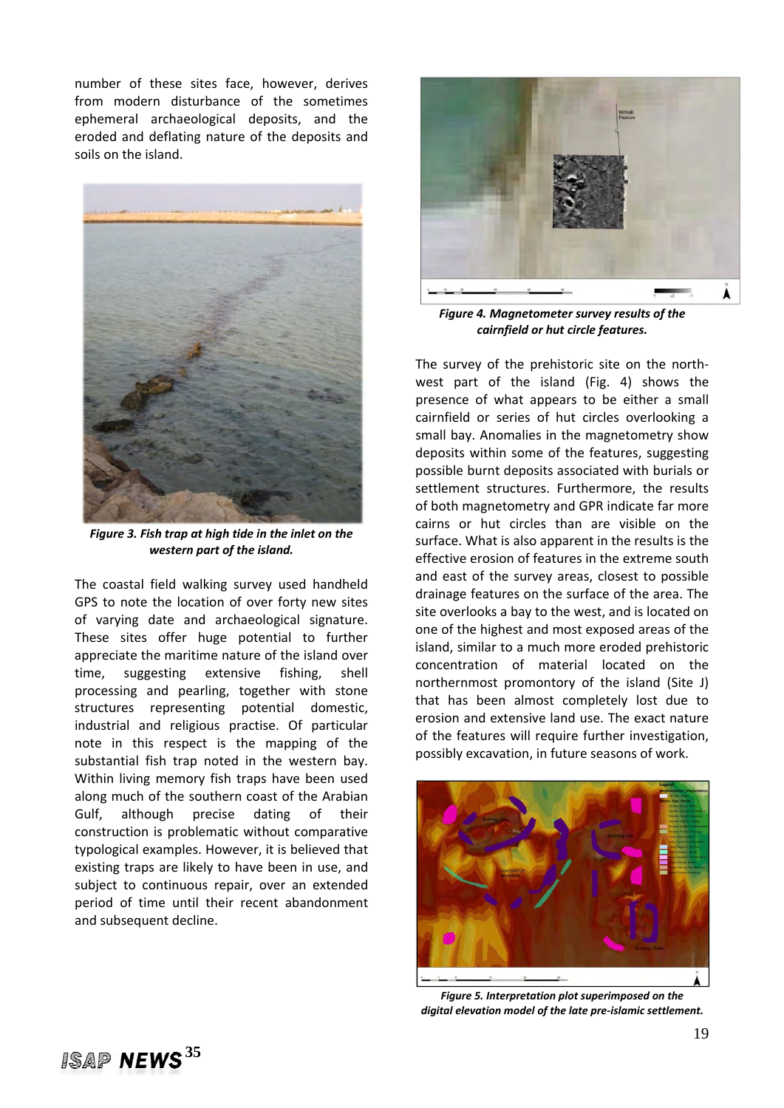number of these sites face, however, derives from modern disturbance of the sometimes ephemeral archaeological deposits, and the eroded and deflating nature of the deposits and soils on the island.



*Figure 3. Fish trap at high tide in the inlet on the western part of the island.*

The coastal field walking survey used handheld GPS to note the location of over forty new sites of varying date and archaeological signature. These sites offer huge potential to further appreciate the maritime nature of the island over time, suggesting extensive fishing, shell processing and pearling, together with stone structures representing potential domestic, industrial and religious practise. Of particular note in this respect is the mapping of the substantial fish trap noted in the western bay. Within living memory fish traps have been used along much of the southern coast of the Arabian Gulf, although precise dating of their construction is problematic without comparative typological examples. However, it is believed that existing traps are likely to have been in use, and subject to continuous repair, over an extended period of time until their recent abandonment and subsequent decline.



*Figure 4. Magnetometer survey results of the cairnfield or hut circle features.*

The survey of the prehistoric site on the north‐ west part of the island (Fig. 4) shows the presence of what appears to be either a small cairnfield or series of hut circles overlooking a small bay. Anomalies in the magnetometry show deposits within some of the features, suggesting possible burnt deposits associated with burials or settlement structures. Furthermore, the results of both magnetometry and GPR indicate far more cairns or hut circles than are visible on the surface. What is also apparent in the results is the effective erosion of features in the extreme south and east of the survey areas, closest to possible drainage features on the surface of the area. The site overlooks a bay to the west, and is located on one of the highest and most exposed areas of the island, similar to a much more eroded prehistoric concentration of material located on the northernmost promontory of the island (Site J) that has been almost completely lost due to erosion and extensive land use. The exact nature of the features will require further investigation, possibly excavation, in future seasons of work.



*Figure 5. Interpretation plot superimposed on the digital elevation model of the late pre‐islamic settlement.*